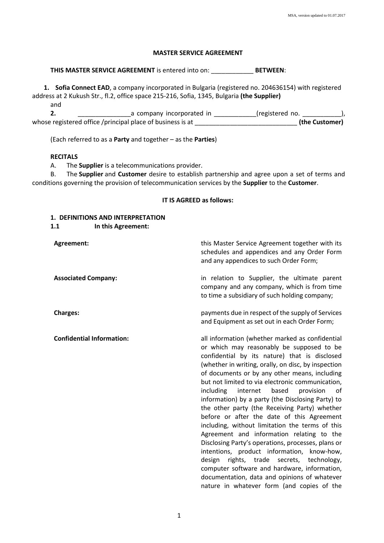### **MASTER SERVICE AGREEMENT**

**THIS MASTER SERVICE AGREEMENT** is entered into on: \_\_\_\_\_\_\_\_\_\_\_\_ **BETWEEN**:

**1. Sofia Connect EАD**, a company incorporated in Bulgaria (registered no. 204636154) with registered address at 2 Kukush Str., fl.2, office space 215-216, Sofia, 1345, Bulgaria **(the Supplier)**

and **2. 2. a** company incorporated in the registered no. whose registered office /principal place of business is at  $\qquad \qquad$  (the Customer)

(Each referred to as a **Party** and together – as the **Parties**)

### **RECITALS**

A. The **Supplier** is a telecommunications provider.

B. The **Supplier** and **Customer** desire to establish partnership and agree upon a set of terms and conditions governing the provision of telecommunication services by the **Supplier** to the **Customer**.

#### **IT IS AGREED as follows:**

### **1. DEFINITIONS AND INTERPRETATION**

**1.1 In this Agreement:**

**Agreement: Agreement:** this Master Service Agreement together with its Master Service Agreement together with its schedules and appendices and any Order Form and any appendices to such Order Form; **Associated Company:** in relation to Supplier, the ultimate parent company and any company, which is from time to time a subsidiary of such holding company; **Charges:** payments due in respect of the supply of Services and Equipment as set out in each Order Form; **Confidential Information:** all information (whether marked as confidential or which may reasonably be supposed to be confidential by its nature) that is disclosed (whether in writing, orally, on disc, by inspection of documents or by any other means, including but not limited to via electronic communication, including internet based provision of information) by a party (the Disclosing Party) to the other party (the Receiving Party) whether before or after the date of this Agreement including, without limitation the terms of this Agreement and information relating to the Disclosing Party's operations, processes, plans or intentions, product information, know-how, design rights, trade secrets, technology, computer software and hardware, information, documentation, data and opinions of whatever nature in whatever form (and copies of the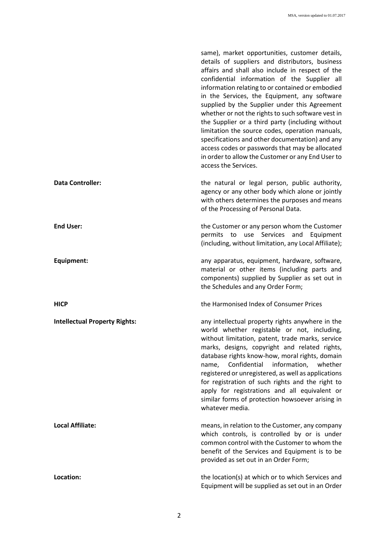|                                      | same), market opportunities, customer details,<br>details of suppliers and distributors, business<br>affairs and shall also include in respect of the<br>confidential information of the Supplier all<br>information relating to or contained or embodied<br>in the Services, the Equipment, any software<br>supplied by the Supplier under this Agreement<br>whether or not the rights to such software vest in<br>the Supplier or a third party (including without<br>limitation the source codes, operation manuals,<br>specifications and other documentation) and any<br>access codes or passwords that may be allocated<br>in order to allow the Customer or any End User to<br>access the Services. |
|--------------------------------------|------------------------------------------------------------------------------------------------------------------------------------------------------------------------------------------------------------------------------------------------------------------------------------------------------------------------------------------------------------------------------------------------------------------------------------------------------------------------------------------------------------------------------------------------------------------------------------------------------------------------------------------------------------------------------------------------------------|
| <b>Data Controller:</b>              | the natural or legal person, public authority,<br>agency or any other body which alone or jointly<br>with others determines the purposes and means<br>of the Processing of Personal Data.                                                                                                                                                                                                                                                                                                                                                                                                                                                                                                                  |
| <b>End User:</b>                     | the Customer or any person whom the Customer<br>permits<br>Services<br>and<br>to<br>use<br>Equipment<br>(including, without limitation, any Local Affiliate);                                                                                                                                                                                                                                                                                                                                                                                                                                                                                                                                              |
| Equipment:                           | any apparatus, equipment, hardware, software,<br>material or other items (including parts and<br>components) supplied by Supplier as set out in<br>the Schedules and any Order Form;                                                                                                                                                                                                                                                                                                                                                                                                                                                                                                                       |
| <b>HICP</b>                          | the Harmonised Index of Consumer Prices                                                                                                                                                                                                                                                                                                                                                                                                                                                                                                                                                                                                                                                                    |
| <b>Intellectual Property Rights:</b> | any intellectual property rights anywhere in the<br>world whether registable or not, including,<br>without limitation, patent, trade marks, service<br>marks, designs, copyright and related rights,<br>database rights know-how, moral rights, domain<br>Confidential information, whether<br>name,<br>registered or unregistered, as well as applications<br>for registration of such rights and the right to<br>apply for registrations and all equivalent or<br>similar forms of protection howsoever arising in<br>whatever media.                                                                                                                                                                    |
| <b>Local Affiliate:</b>              | means, in relation to the Customer, any company<br>which controls, is controlled by or is under<br>common control with the Customer to whom the<br>benefit of the Services and Equipment is to be<br>provided as set out in an Order Form;                                                                                                                                                                                                                                                                                                                                                                                                                                                                 |
| Location:                            | the location(s) at which or to which Services and<br>Equipment will be supplied as set out in an Order                                                                                                                                                                                                                                                                                                                                                                                                                                                                                                                                                                                                     |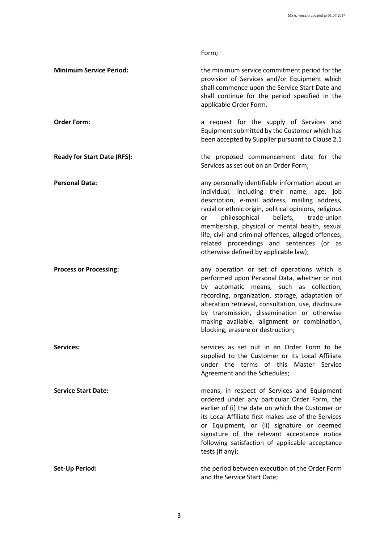|                                    | Form;                                                                                                                                                                                                                                                                                                                                                                                                                                               |
|------------------------------------|-----------------------------------------------------------------------------------------------------------------------------------------------------------------------------------------------------------------------------------------------------------------------------------------------------------------------------------------------------------------------------------------------------------------------------------------------------|
| <b>Minimum Service Period:</b>     | the minimum service commitment period for the<br>provision of Services and/or Equipment which<br>shall commence upon the Service Start Date and<br>shall continue for the period specified in the<br>applicable Order Form.                                                                                                                                                                                                                         |
| <b>Order Form:</b>                 | a request for the supply of Services and<br>Equipment submitted by the Customer which has<br>been accepted by Supplier pursuant to Clause 2.1                                                                                                                                                                                                                                                                                                       |
| <b>Ready for Start Date (RFS):</b> | the proposed commencement date for the<br>Services as set out on an Order Form;                                                                                                                                                                                                                                                                                                                                                                     |
| <b>Personal Data:</b>              | any personally identifiable information about an<br>individual, including their name, age, job<br>description, e-mail address, mailing address,<br>racial or ethnic origin, political opinions, religious<br>philosophical beliefs, trade-union<br>or<br>membership, physical or mental health, sexual<br>life, civil and criminal offences, alleged offences,<br>related proceedings and sentences (or as<br>otherwise defined by applicable law); |
| <b>Process or Processing:</b>      | any operation or set of operations which is<br>performed upon Personal Data, whether or not<br>by automatic means, such as collection,<br>recording, organization, storage, adaptation or<br>alteration retrieval, consultation, use, disclosure<br>by transmission, dissemination or otherwise<br>making available, alignment or combination,<br>blocking, erasure or destruction;                                                                 |
| <b>Services:</b>                   | services as set out in an Order Form to be<br>supplied to the Customer or its Local Affiliate<br>under the terms of this Master Service<br>Agreement and the Schedules;                                                                                                                                                                                                                                                                             |
| <b>Service Start Date:</b>         | means, in respect of Services and Equipment<br>ordered under any particular Order Form, the<br>earlier of (i) the date on which the Customer or<br>its Local Affiliate first makes use of the Services<br>or Equipment, or (ii) signature or deemed<br>signature of the relevant acceptance notice<br>following satisfaction of applicable acceptance<br>tests (if any);                                                                            |
| <b>Set-Up Period:</b>              | the period between execution of the Order Form<br>and the Service Start Date;                                                                                                                                                                                                                                                                                                                                                                       |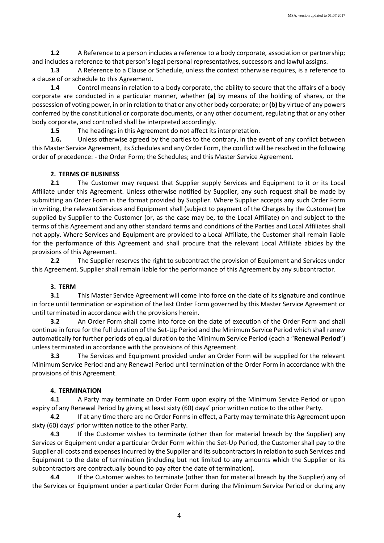**1.2** A Reference to a person includes a reference to a body corporate, association or partnership; and includes a reference to that person's legal personal representatives, successors and lawful assigns.

**1.3** A Reference to a Clause or Schedule, unless the context otherwise requires, is a reference to a clause of or schedule to this Agreement.

**1.4** Control means in relation to a body corporate, the ability to secure that the affairs of a body corporate are conducted in a particular manner, whether **(a)** by means of the holding of shares, or the possession of voting power, in or in relation to that or any other body corporate; or **(b)** by virtue of any powers conferred by the constitutional or corporate documents, or any other document, regulating that or any other body corporate, and controlled shall be interpreted accordingly.

**1.5** The headings in this Agreement do not affect its interpretation.

**1.6.** Unless otherwise agreed by the parties to the contrary, in the event of any conflict between this Master Service Agreement, its Schedules and any Order Form, the conflict will be resolved in the following order of precedence: - the Order Form; the Schedules; and this Master Service Agreement.

### **2. TERMS OF BUSINESS**

**2.1** The Customer may request that Supplier supply Services and Equipment to it or its Local Affiliate under this Agreement. Unless otherwise notified by Supplier, any such request shall be made by submitting an Order Form in the format provided by Supplier. Where Supplier accepts any such Order Form in writing, the relevant Services and Equipment shall (subject to payment of the Charges by the Customer) be supplied by Supplier to the Customer (or, as the case may be, to the Local Affiliate) on and subject to the terms of this Agreement and any other standard terms and conditions of the Parties and Local Affiliates shall not apply. Where Services and Equipment are provided to a Local Affiliate, the Customer shall remain liable for the performance of this Agreement and shall procure that the relevant Local Affiliate abides by the provisions of this Agreement.

**2.2** The Supplier reserves the right to subcontract the provision of Equipment and Services under this Agreement. Supplier shall remain liable for the performance of this Agreement by any subcontractor.

## **3. TERM**

**3.1** This Master Service Agreement will come into force on the date of its signature and continue in force until termination or expiration of the last Order Form governed by this Master Service Agreement or until terminated in accordance with the provisions herein.

**3.2** An Order Form shall come into force on the date of execution of the Order Form and shall continue in force for the full duration of the Set-Up Period and the Minimum Service Period which shall renew automatically for further periods of equal duration to the Minimum Service Period (each a "**Renewal Period**") unless terminated in accordance with the provisions of this Agreement.

**3.3** The Services and Equipment provided under an Order Form will be supplied for the relevant Minimum Service Period and any Renewal Period until termination of the Order Form in accordance with the provisions of this Agreement.

## **4. TERMINATION**

**4.1** A Party may terminate an Order Form upon expiry of the Minimum Service Period or upon expiry of any Renewal Period by giving at least sixty (60) days' prior written notice to the other Party.

**4.2** If at any time there are no Order Forms in effect, a Party may terminate this Agreement upon sixty (60) days' prior written notice to the other Party.

**4.3** If the Customer wishes to terminate (other than for material breach by the Supplier) any Services or Equipment under a particular Order Form within the Set-Up Period, the Customer shall pay to the Supplier all costs and expenses incurred by the Supplier and its subcontractors in relation to such Services and Equipment to the date of termination (including but not limited to any amounts which the Supplier or its subcontractors are contractually bound to pay after the date of termination).

**4.4** If the Customer wishes to terminate (other than for material breach by the Supplier) any of the Services or Equipment under a particular Order Form during the Minimum Service Period or during any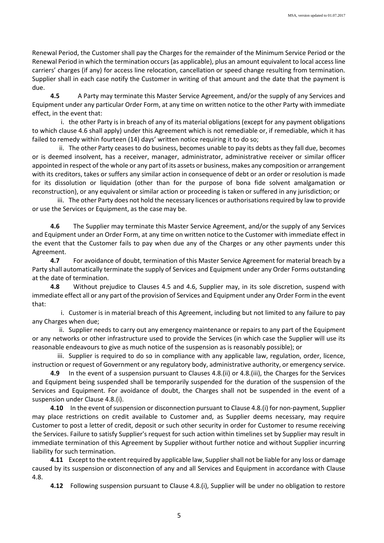Renewal Period, the Customer shall pay the Charges for the remainder of the Minimum Service Period or the Renewal Period in which the termination occurs (as applicable), plus an amount equivalent to local access line carriers' charges (if any) for access line relocation, cancellation or speed change resulting from termination. Supplier shall in each case notify the Customer in writing of that amount and the date that the payment is due.

**4.5** A Party may terminate this Master Service Agreement, and/or the supply of any Services and Equipment under any particular Order Form, at any time on written notice to the other Party with immediate effect, in the event that:

i. the other Party is in breach of any of its material obligations (except for any payment obligations to which clause 4.6 shall apply) under this Agreement which is not remediable or, if remediable, which it has failed to remedy within fourteen (14) days' written notice requiring it to do so;

ii. The other Party ceases to do business, becomes unable to pay its debts as they fall due, becomes or is deemed insolvent, has a receiver, manager, administrator, administrative receiver or similar officer appointed in respect of the whole or any part of its assets or business, makes any composition or arrangement with its creditors, takes or suffers any similar action in consequence of debt or an order or resolution is made for its dissolution or liquidation (other than for the purpose of bona fide solvent amalgamation or reconstruction), or any equivalent or similar action or proceeding is taken or suffered in any jurisdiction; or

iii. The other Party does not hold the necessary licences or authorisations required by law to provide or use the Services or Equipment, as the case may be.

**4.6** The Supplier may terminate this Master Service Agreement, and/or the supply of any Services and Equipment under an Order Form, at any time on written notice to the Customer with immediate effect in the event that the Customer fails to pay when due any of the Charges or any other payments under this Agreement.

**4.7** For avoidance of doubt, termination of this Master Service Agreement for material breach by a Party shall automatically terminate the supply of Services and Equipment under any Order Forms outstanding at the date of termination.

**4.8** Without prejudice to Clauses 4.5 and 4.6, Supplier may, in its sole discretion, suspend with immediate effect all or any part of the provision of Services and Equipment under any Order Form in the event that:

i. Customer is in material breach of this Agreement, including but not limited to any failure to pay any Charges when due;

ii. Supplier needs to carry out any emergency maintenance or repairs to any part of the Equipment or any networks or other infrastructure used to provide the Services (in which case the Supplier will use its reasonable endeavours to give as much notice of the suspension as is reasonably possible); or

iii. Supplier is required to do so in compliance with any applicable law, regulation, order, licence, instruction or request of Government or any regulatory body, administrative authority, or emergency service.

**4.9** In the event of a suspension pursuant to Clauses 4.8.(ii) or 4.8.(iii), the Charges for the Services and Equipment being suspended shall be temporarily suspended for the duration of the suspension of the Services and Equipment. For avoidance of doubt, the Charges shall not be suspended in the event of a suspension under Clause 4.8.(i).

**4.10** In the event of suspension or disconnection pursuant to Clause 4.8.(i) for non-payment, Supplier may place restrictions on credit available to Customer and, as Supplier deems necessary, may require Customer to post a letter of credit, deposit or such other security in order for Customer to resume receiving the Services. Failure to satisfy Supplier's request for such action within timelines set by Supplier may result in immediate termination of this Agreement by Supplier without further notice and without Supplier incurring liability for such termination.

**4.11** Except to the extent required by applicable law, Supplier shall not be liable for any loss or damage caused by its suspension or disconnection of any and all Services and Equipment in accordance with Clause 4.8.

**4.12** Following suspension pursuant to Clause 4.8.(i), Supplier will be under no obligation to restore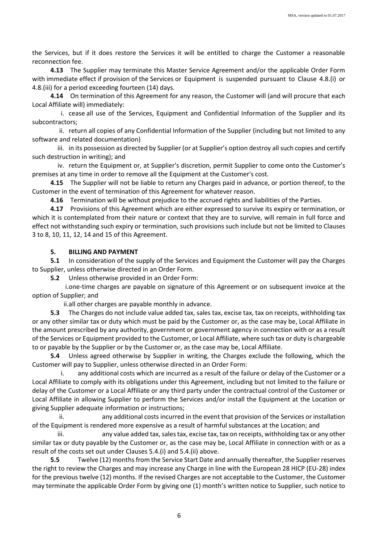the Services, but if it does restore the Services it will be entitled to charge the Customer a reasonable reconnection fee.

**4.13** The Supplier may terminate this Master Service Agreement and/or the applicable Order Form with immediate effect if provision of the Services or Equipment is suspended pursuant to Clause 4.8.(i) or 4.8.(iii) for a period exceeding fourteen (14) days.

**4.14** On termination of this Agreement for any reason, the Customer will (and will procure that each Local Affiliate will) immediately:

i. cease all use of the Services, Equipment and Confidential Information of the Supplier and its subcontractors;

ii. return all copies of any Confidential Information of the Supplier (including but not limited to any software and related documentation)

iii. in its possession as directed by Supplier (or at Supplier's option destroy all such copies and certify such destruction in writing); and

iv. return the Equipment or, at Supplier's discretion, permit Supplier to come onto the Customer's premises at any time in order to remove all the Equipment at the Customer's cost.

**4.15** The Supplier will not be liable to return any Charges paid in advance, or portion thereof, to the Customer in the event of termination of this Agreement for whatever reason.

**4.16** Termination will be without prejudice to the accrued rights and liabilities of the Parties.

**4.17** Provisions of this Agreement which are either expressed to survive its expiry or termination, or which it is contemplated from their nature or context that they are to survive, will remain in full force and effect not withstanding such expiry or termination, such provisions such include but not be limited to Clauses 3 to 8, 10, 11, 12, 14 and 15 of this Agreement.

#### **5. BILLING AND PAYMENT**

**5.1** In consideration of the supply of the Services and Equipment the Customer will pay the Charges to Supplier, unless otherwise directed in an Order Form.

**5.2** Unless otherwise provided in an Order Form:

i.one-time charges are payable on signature of this Agreement or on subsequent invoice at the option of Supplier; and

ii.all other charges are payable monthly in advance.

**5.3** The Charges do not include value added tax, sales tax, excise tax, tax on receipts, withholding tax or any other similar tax or duty which must be paid by the Customer or, as the case may be, Local Affiliate in the amount prescribed by any authority, government or government agency in connection with or as a result of the Services or Equipment provided to the Customer, or Local Affiliate, where such tax or duty is chargeable to or payable by the Supplier or by the Customer or, as the case may be, Local Affiliate.

**5.4** Unless agreed otherwise by Supplier in writing, the Charges exclude the following, which the Customer will pay to Supplier, unless otherwise directed in an Order Form:

i. any additional costs which are incurred as a result of the failure or delay of the Customer or a Local Affiliate to comply with its obligations under this Agreement, including but not limited to the failure or delay of the Customer or a Local Affiliate or any third party under the contractual control of the Customer or Local Affiliate in allowing Supplier to perform the Services and/or install the Equipment at the Location or giving Supplier adequate information or instructions;

ii. any additional costs incurred in the event that provision of the Services or installation of the Equipment is rendered more expensive as a result of harmful substances at the Location; and

iii. any value added tax, sales tax, excise tax, tax on receipts, withholding tax or any other similar tax or duty payable by the Customer or, as the case may be, Local Affiliate in connection with or as a result of the costs set out under Clauses 5.4.(i) and 5.4.(ii) above.

**5.5** Twelve (12) months from the Service Start Date and annually thereafter, the Supplier reserves the right to review the Charges and may increase any Charge in line with the European 28 HICP (EU-28) index for the previous twelve (12) months. If the revised Charges are not acceptable to the Customer, the Customer may terminate the applicable Order Form by giving one (1) month's written notice to Supplier, such notice to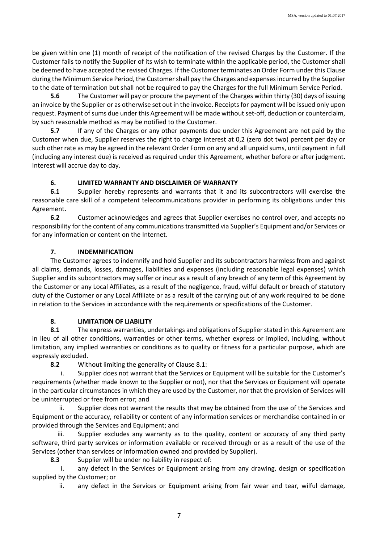be given within one (1) month of receipt of the notification of the revised Charges by the Customer. If the Customer fails to notify the Supplier of its wish to terminate within the applicable period, the Customer shall be deemed to have accepted the revised Charges. If the Customer terminates an Order Form under this Clause during the Minimum Service Period, the Customer shall pay the Charges and expenses incurred by the Supplier to the date of termination but shall not be required to pay the Charges for the full Minimum Service Period.

**5.6** The Customer will pay or procure the payment of the Charges within thirty (30) days of issuing an invoice by the Supplier or as otherwise set out in the invoice. Receipts for payment will be issued only upon request. Payment of sums due under this Agreement will be made without set-off, deduction or counterclaim, by such reasonable method as may be notified to the Customer.

**5.7** If any of the Charges or any other payments due under this Agreement are not paid by the Customer when due, Supplier reserves the right to charge interest at 0,2 (zero dot two) percent per day or such other rate as may be agreed in the relevant Order Form on any and all unpaid sums, until payment in full (including any interest due) is received as required under this Agreement, whether before or after judgment. Interest will accrue day to day.

# **6. LIMITED WARRANTY AND DISCLAIMER OF WARRANTY**

**6.1** Supplier hereby represents and warrants that it and its subcontractors will exercise the reasonable care skill of a competent telecommunications provider in performing its obligations under this Agreement.

**6.2** Customer acknowledges and agrees that Supplier exercises no control over, and accepts no responsibility for the content of any communications transmitted via Supplier's Equipment and/or Services or for any information or content on the Internet.

# **7. INDEMNIFICATION**

The Customer agrees to indemnify and hold Supplier and its subcontractors harmless from and against all claims, demands, losses, damages, liabilities and expenses (including reasonable legal expenses) which Supplier and its subcontractors may suffer or incur as a result of any breach of any term of this Agreement by the Customer or any Local Affiliates, as a result of the negligence, fraud, wilful default or breach of statutory duty of the Customer or any Local Affiliate or as a result of the carrying out of any work required to be done in relation to the Services in accordance with the requirements or specifications of the Customer.

# **8. LIMITATION OF LIABILITY**

**8.1** The express warranties, undertakings and obligations of Supplier stated in this Agreement are in lieu of all other conditions, warranties or other terms, whether express or implied, including, without limitation, any implied warranties or conditions as to quality or fitness for a particular purpose, which are expressly excluded.

**8.2** Without limiting the generality of Clause 8.1:

i. Supplier does not warrant that the Services or Equipment will be suitable for the Customer's requirements (whether made known to the Supplier or not), nor that the Services or Equipment will operate in the particular circumstances in which they are used by the Customer, nor that the provision of Services will be uninterrupted or free from error; and

ii. Supplier does not warrant the results that may be obtained from the use of the Services and Equipment or the accuracy, reliability or content of any information services or merchandise contained in or provided through the Services and Equipment; and

iii. Supplier excludes any warranty as to the quality, content or accuracy of any third party software, third party services or information available or received through or as a result of the use of the Services (other than services or information owned and provided by Supplier).

**8.3** Supplier will be under no liability in respect of:

i. any defect in the Services or Equipment arising from any drawing, design or specification supplied by the Customer; or

ii. any defect in the Services or Equipment arising from fair wear and tear, wilful damage,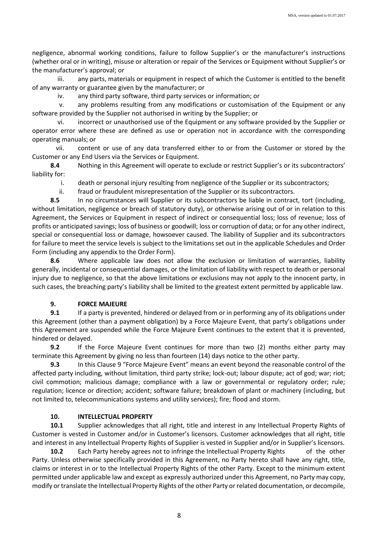negligence, abnormal working conditions, failure to follow Supplier's or the manufacturer's instructions (whether oral or in writing), misuse or alteration or repair of the Services or Equipment without Supplier's or the manufacturer's approval; or

iii. any parts, materials or equipment in respect of which the Customer is entitled to the benefit of any warranty or guarantee given by the manufacturer; or

iv. any third party software, third party services or information; or

v. any problems resulting from any modifications or customisation of the Equipment or any software provided by the Supplier not authorised in writing by the Supplier; or

vi. incorrect or unauthorised use of the Equipment or any software provided by the Supplier or operator error where these are defined as use or operation not in accordance with the corresponding operating manuals; or

vii. content or use of any data transferred either to or from the Customer or stored by the Customer or any End Users via the Services or Equipment.

**8.4** Nothing in this Agreement will operate to exclude or restrict Supplier's or its subcontractors' liability for:

i. death or personal injury resulting from negligence of the Supplier or its subcontractors;

ii. fraud or fraudulent misrepresentation of the Supplier or its subcontractors.

**8.5** In no circumstances will Supplier or its subcontractors be liable in contract, tort (including, without limitation, negligence or breach of statutory duty), or otherwise arising out of or in relation to this Agreement, the Services or Equipment in respect of indirect or consequential loss; loss of revenue; loss of profits or anticipated savings; loss of business or goodwill; loss or corruption of data; or for any other indirect, special or consequential loss or damage, howsoever caused. The liability of Supplier and its subcontractors for failure to meet the service levels is subject to the limitations set out in the applicable Schedules and Order Form (including any appendix to the Order Form).

**8.6** Where applicable law does not allow the exclusion or limitation of warranties, liability generally, incidental or consequential damages, or the limitation of liability with respect to death or personal injury due to negligence, so that the above limitations or exclusions may not apply to the innocent party, in such cases, the breaching party's liability shall be limited to the greatest extent permitted by applicable law.

#### **9. FORCE MAJEURE**

**9.1** If a party is prevented, hindered or delayed from or in performing any of its obligations under this Agreement (other than a payment obligation) by a Force Majeure Event, that party's obligations under this Agreement are suspended while the Force Majeure Event continues to the extent that it is prevented, hindered or delayed.

**9.2** If the Force Majeure Event continues for more than two (2) months either party may terminate this Agreement by giving no less than fourteen (14) days notice to the other party.

**9.3** In this Clause 9 "Force Majeure Event" means an event beyond the reasonable control of the affected party including, without limitation, third party strike; lock-out; labour dispute; act of god; war; riot; civil commotion; malicious damage; compliance with a law or governmental or regulatory order; rule; regulation; licence or direction; accident; software failure; breakdown of plant or machinery (including, but not limited to, telecommunications systems and utility services); fire; flood and storm.

#### **10. INTELLECTUAL PROPERTY**

**10.1** Supplier acknowledges that all right, title and interest in any Intellectual Property Rights of Customer is vested in Customer and/or in Customer's licensors. Customer acknowledges that all right, title and interest in any Intellectual Property Rights of Supplier is vested in Supplier and/or in Supplier's licensors.

**10.2** Each Party hereby agrees not to infringe the Intellectual Property Rights of the other Party. Unless otherwise specifically provided in this Agreement, no Party hereto shall have any right, title, claims or interest in or to the Intellectual Property Rights of the other Party. Except to the minimum extent permitted under applicable law and except as expressly authorized under this Agreement, no Party may copy, modify or translate the Intellectual Property Rights of the other Party or related documentation, or decompile,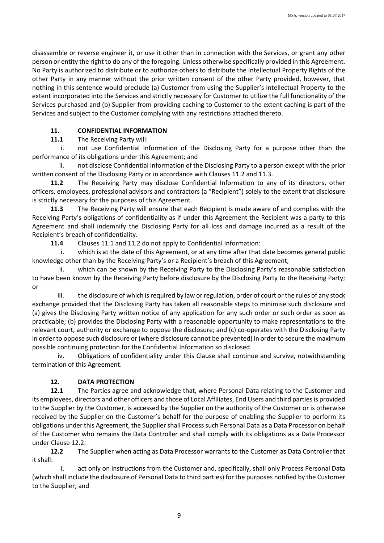disassemble or reverse engineer it, or use it other than in connection with the Services, or grant any other person or entity the right to do any of the foregoing. Unless otherwise specifically provided in this Agreement. No Party is authorized to distribute or to authorize others to distribute the Intellectual Property Rights of the other Party in any manner without the prior written consent of the other Party provided, however, that nothing in this sentence would preclude (a) Customer from using the Supplier's Intellectual Property to the extent incorporated into the Services and strictly necessary for Customer to utilize the full functionality of the Services purchased and (b) Supplier from providing caching to Customer to the extent caching is part of the Services and subject to the Customer complying with any restrictions attached thereto.

## **11. CONFIDENTIAL INFORMATION**

**11.1** The Receiving Party will:

i. not use Confidential Information of the Disclosing Party for a purpose other than the performance of its obligations under this Agreement; and

ii. not disclose Confidential Information of the Disclosing Party to a person except with the prior written consent of the Disclosing Party or in accordance with Clauses 11.2 and 11.3.

**11.2** The Receiving Party may disclose Confidential Information to any of its directors, other officers, employees, professional advisors and contractors (a "Recipient") solely to the extent that disclosure is strictly necessary for the purposes of this Agreement.

**11.3** The Receiving Party will ensure that each Recipient is made aware of and complies with the Receiving Party's obligations of confidentiality as if under this Agreement the Recipient was a party to this Agreement and shall indemnify the Disclosing Party for all loss and damage incurred as a result of the Recipient's breach of confidentiality.

**11.4** Clauses 11.1 and 11.2 do not apply to Confidential Information:

i. which is at the date of this Agreement, or at any time after that date becomes general public knowledge other than by the Receiving Party's or a Recipient's breach of this Agreement;

ii. which can be shown by the Receiving Party to the Disclosing Party's reasonable satisfaction to have been known by the Receiving Party before disclosure by the Disclosing Party to the Receiving Party; or

iii. the disclosure of which is required by law or regulation, order of court or the rules of any stock exchange provided that the Disclosing Party has taken all reasonable steps to minimise such disclosure and (a) gives the Disclosing Party written notice of any application for any such order or such order as soon as practicable; (b) provides the Disclosing Party with a reasonable opportunity to make representations to the relevant court, authority or exchange to oppose the disclosure; and (c) co-operates with the Disclosing Party in order to oppose such disclosure or (where disclosure cannot be prevented) in order to secure the maximum possible continuing protection for the Confidential Information so disclosed.

iv. Obligations of confidentiality under this Clause shall continue and survive, notwithstanding termination of this Agreement.

# **12. DATA PROTECTION**

**12.1** The Parties agree and acknowledge that, where Personal Data relating to the Customer and its employees, directors and other officers and those of Local Affiliates, End Users and third parties is provided to the Supplier by the Customer, is accessed by the Supplier on the authority of the Customer or is otherwise received by the Supplier on the Customer's behalf for the purpose of enabling the Supplier to perform its obligations under this Agreement, the Supplier shall Process such Personal Data as a Data Processor on behalf of the Customer who remains the Data Controller and shall comply with its obligations as a Data Processor under Clause 12.2.

**12.2** The Supplier when acting as Data Processor warrants to the Customer as Data Controller that it shall:

i. act only on instructions from the Customer and, specifically, shall only Process Personal Data (which shall include the disclosure of Personal Data to third parties) for the purposes notified by the Customer to the Supplier; and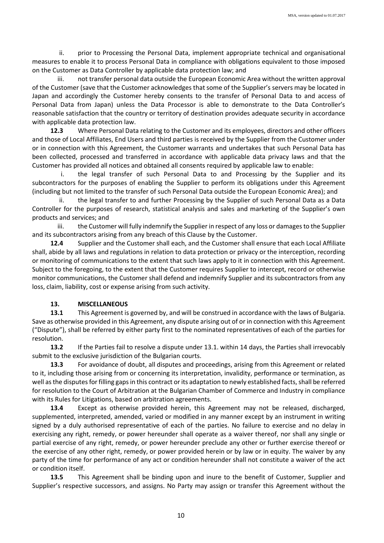ii. prior to Processing the Personal Data, implement appropriate technical and organisational measures to enable it to process Personal Data in compliance with obligations equivalent to those imposed on the Customer as Data Controller by applicable data protection law; and

iii. not transfer personal data outside the European Economic Area without the written approval of the Customer (save that the Customer acknowledges that some of the Supplier's servers may be located in Japan and accordingly the Customer hereby consents to the transfer of Personal Data to and access of Personal Data from Japan) unless the Data Processor is able to demonstrate to the Data Controller's reasonable satisfaction that the country or territory of destination provides adequate security in accordance with applicable data protection law.

**12.3** Where Personal Data relating to the Customer and its employees, directors and other officers and those of Local Affiliates, End Users and third parties is received by the Supplier from the Customer under or in connection with this Agreement, the Customer warrants and undertakes that such Personal Data has been collected, processed and transferred in accordance with applicable data privacy laws and that the Customer has provided all notices and obtained all consents required by applicable law to enable:

i. the legal transfer of such Personal Data to and Processing by the Supplier and its subcontractors for the purposes of enabling the Supplier to perform its obligations under this Agreement (including but not limited to the transfer of such Personal Data outside the European Economic Area); and

ii. the legal transfer to and further Processing by the Supplier of such Personal Data as a Data Controller for the purposes of research, statistical analysis and sales and marketing of the Supplier's own products and services; and

iii. the Customer will fully indemnify the Supplier in respect of any loss or damages to the Supplier and its subcontractors arising from any breach of this Clause by the Customer.

**12.4** Supplier and the Customer shall each, and the Customer shall ensure that each Local Affiliate shall, abide by all laws and regulations in relation to data protection or privacy or the interception, recording or monitoring of communications to the extent that such laws apply to it in connection with this Agreement. Subject to the foregoing, to the extent that the Customer requires Supplier to intercept, record or otherwise monitor communications, the Customer shall defend and indemnify Supplier and its subcontractors from any loss, claim, liability, cost or expense arising from such activity.

## **13. MISCELLANEOUS**

**13.1** This Agreement is governed by, and will be construed in accordance with the laws of Bulgaria. Save as otherwise provided in this Agreement, any dispute arising out of or in connection with this Agreement ("Dispute"), shall be referred by either party first to the nominated representatives of each of the parties for resolution.

**13.2** If the Parties fail to resolve a dispute under 13.1. within 14 days, the Parties shall irrevocably submit to the exclusive jurisdiction of the Bulgarian courts.

**13.3** For avoidance of doubt, all disputes and proceedings, arising from this Agreement or related to it, including those arising from or concerning its interpretation, invalidity, performance or termination, as well as the disputes for filling gaps in this contract or its adaptation to newly established facts, shall be referred for resolution to the Court of Arbitration at the Bulgarian Chamber of Commerce and Industry in compliance with its Rules for Litigations, based on arbitration agreements.

**13.4** Except as otherwise provided herein, this Agreement may not be released, discharged, supplemented, interpreted, amended, varied or modified in any manner except by an instrument in writing signed by a duly authorised representative of each of the parties. No failure to exercise and no delay in exercising any right, remedy, or power hereunder shall operate as a waiver thereof, nor shall any single or partial exercise of any right, remedy, or power hereunder preclude any other or further exercise thereof or the exercise of any other right, remedy, or power provided herein or by law or in equity. The waiver by any party of the time for performance of any act or condition hereunder shall not constitute a waiver of the act or condition itself.

**13.5** This Agreement shall be binding upon and inure to the benefit of Customer, Supplier and Supplier's respective successors, and assigns. No Party may assign or transfer this Agreement without the